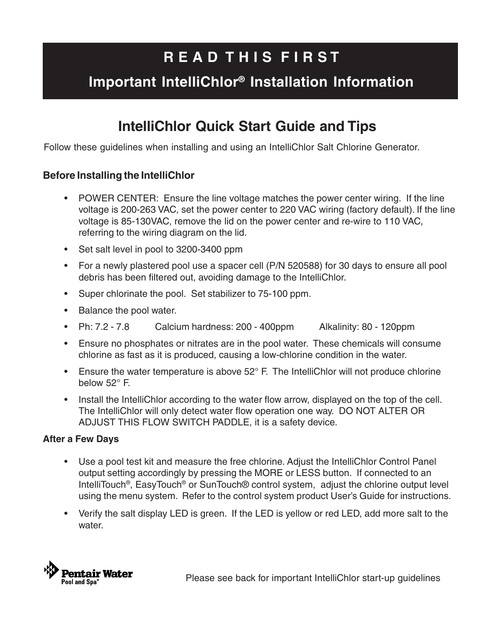# **R E A D T H I S F I R S T**

## **Important IntelliChlor® Installation Information**

## **IntelliChlor Quick Start Guide and Tips**

Follow these guidelines when installing and using an IntelliChlor Salt Chlorine Generator.

### **Before Installing the IntelliChlor**

- POWER CENTER: Ensure the line voltage matches the power center wiring. If the line voltage is 200-263 VAC, set the power center to 220 VAC wiring (factory default). If the line voltage is 85-130VAC, remove the lid on the power center and re-wire to 110 VAC, referring to the wiring diagram on the lid.
- Set salt level in pool to 3200-3400 ppm
- For a newly plastered pool use a spacer cell (P/N 520588) for 30 days to ensure all pool debris has been filtered out, avoiding damage to the IntelliChlor.
- Super chlorinate the pool. Set stabilizer to 75-100 ppm.
- Balance the pool water.
- Ph: 7.2 7.8 Calcium hardness: 200 400ppm Alkalinity: 80 120ppm
- Ensure no phosphates or nitrates are in the pool water. These chemicals will consume chlorine as fast as it is produced, causing a low-chlorine condition in the water.
- Ensure the water temperature is above 52° F. The IntelliChlor will not produce chlorine below 52° F.
- Install the IntelliChlor according to the water flow arrow, displayed on the top of the cell. The IntelliChlor will only detect water flow operation one way. DO NOT ALTER OR ADJUST THIS FLOW SWITCH PADDLE, it is a safety device.

#### **After a Few Days**

- Use a pool test kit and measure the free chlorine. Adjust the IntelliChlor Control Panel output setting accordingly by pressing the MORE or LESS button. If connected to an IntelliTouch<sup>®</sup>, EasyTouch<sup>®</sup> or SunTouch<sup>®</sup> control system, adjust the chlorine output level using the menu system. Refer to the control system product User's Guide for instructions.
- Verify the salt display LED is green. If the LED is yellow or red LED, add more salt to the water.